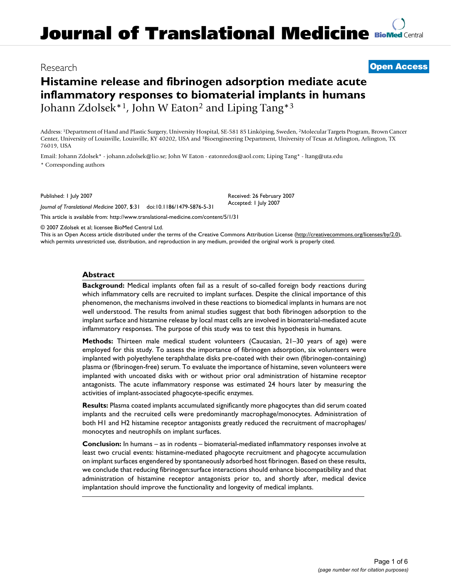# **Histamine release and fibrinogen adsorption mediate acute inflammatory responses to biomaterial implants in humans** Johann Zdolsek\*1, John W Eaton2 and Liping Tang\*3

Address: 1Department of Hand and Plastic Surgery, University Hospital, SE-581 85 Linköping, Sweden, 2Molecular Targets Program, Brown Cancer Center, University of Louisville, Louisville, KY 40202, USA and 3Bioengineering Department, University of Texas at Arlington, Arlington, TX 76019, USA

> Received: 26 February 2007 Accepted: 1 July 2007

Email: Johann Zdolsek\* - johann.zdolsek@lio.se; John W Eaton - eatonredox@aol.com; Liping Tang\* - ltang@uta.edu \* Corresponding authors

Published: 1 July 2007

*Journal of Translational Medicine* 2007, **5**:31 doi:10.1186/1479-5876-5-31

[This article is available from: http://www.translational-medicine.com/content/5/1/31](http://www.translational-medicine.com/content/5/1/31)

© 2007 Zdolsek et al; licensee BioMed Central Ltd.

This is an Open Access article distributed under the terms of the Creative Commons Attribution License [\(http://creativecommons.org/licenses/by/2.0\)](http://creativecommons.org/licenses/by/2.0), which permits unrestricted use, distribution, and reproduction in any medium, provided the original work is properly cited.

#### **Abstract**

**Background:** Medical implants often fail as a result of so-called foreign body reactions during which inflammatory cells are recruited to implant surfaces. Despite the clinical importance of this phenomenon, the mechanisms involved in these reactions to biomedical implants in humans are not well understood. The results from animal studies suggest that both fibrinogen adsorption to the implant surface and histamine release by local mast cells are involved in biomaterial-mediated acute inflammatory responses. The purpose of this study was to test this hypothesis in humans.

**Methods:** Thirteen male medical student volunteers (Caucasian, 21–30 years of age) were employed for this study. To assess the importance of fibrinogen adsorption, six volunteers were implanted with polyethylene teraphthalate disks pre-coated with their own (fibrinogen-containing) plasma or (fibrinogen-free) serum. To evaluate the importance of histamine, seven volunteers were implanted with uncoated disks with or without prior oral administration of histamine receptor antagonists. The acute inflammatory response was estimated 24 hours later by measuring the activities of implant-associated phagocyte-specific enzymes.

**Results:** Plasma coated implants accumulated significantly more phagocytes than did serum coated implants and the recruited cells were predominantly macrophage/monocytes. Administration of both H1 and H2 histamine receptor antagonists greatly reduced the recruitment of macrophages/ monocytes and neutrophils on implant surfaces.

**Conclusion:** In humans – as in rodents – biomaterial-mediated inflammatory responses involve at least two crucial events: histamine-mediated phagocyte recruitment and phagocyte accumulation on implant surfaces engendered by spontaneously adsorbed host fibrinogen. Based on these results, we conclude that reducing fibrinogen:surface interactions should enhance biocompatibility and that administration of histamine receptor antagonists prior to, and shortly after, medical device implantation should improve the functionality and longevity of medical implants.

# Research **[Open Access](http://www.biomedcentral.com/info/about/charter/)**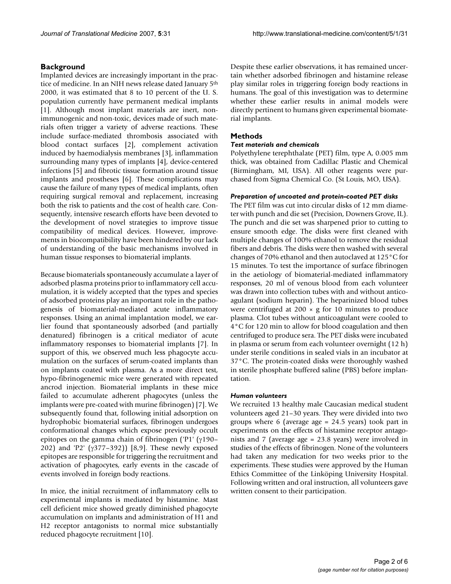#### **Background**

Implanted devices are increasingly important in the practice of medicine. In an NIH news release dated January 5th 2000, it was estimated that 8 to 10 percent of the U. S. population currently have permanent medical implants [1]. Although most implant materials are inert, nonimmunogenic and non-toxic, devices made of such materials often trigger a variety of adverse reactions. These include surface-mediated thrombosis associated with blood contact surfaces [2], complement activation induced by haemodialysis membranes [3], inflammation surrounding many types of implants [4], device-centered infections [5] and fibrotic tissue formation around tissue implants and prostheses [6]. These complications may cause the failure of many types of medical implants, often requiring surgical removal and replacement, increasing both the risk to patients and the cost of health care. Consequently, intensive research efforts have been devoted to the development of novel strategies to improve tissue compatibility of medical devices. However, improvements in biocompatibility have been hindered by our lack of understanding of the basic mechanisms involved in human tissue responses to biomaterial implants.

Because biomaterials spontaneously accumulate a layer of adsorbed plasma proteins prior to inflammatory cell accumulation, it is widely accepted that the types and species of adsorbed proteins play an important role in the pathogenesis of biomaterial-mediated acute inflammatory responses. Using an animal implantation model, we earlier found that spontaneously adsorbed (and partially denatured) fibrinogen is a critical mediator of acute inflammatory responses to biomaterial implants [7]. In support of this, we observed much less phagocyte accumulation on the surfaces of serum-coated implants than on implants coated with plasma. As a more direct test, hypo-fibrinogenemic mice were generated with repeated ancrod injection. Biomaterial implants in these mice failed to accumulate adherent phagocytes (unless the implants were pre-coated with murine fibrinogen) [7]. We subsequently found that, following initial adsorption on hydrophobic biomaterial surfaces, fibrinogen undergoes conformational changes which expose previously occult epitopes on the gamma chain of fibrinogen ('P1' (γ190– 202) and 'P2' (γ377–392)) [8,9]. These newly exposed epitopes are responsible for triggering the recruitment and activation of phagocytes, early events in the cascade of events involved in foreign body reactions.

In mice, the initial recruitment of inflammatory cells to experimental implants is mediated by histamine. Mast cell deficient mice showed greatly diminished phagocyte accumulation on implants and administration of H1 and H2 receptor antagonists to normal mice substantially reduced phagocyte recruitment [10].

Despite these earlier observations, it has remained uncertain whether adsorbed fibrinogen and histamine release play similar roles in triggering foreign body reactions in humans. The goal of this investigation was to determine whether these earlier results in animal models were directly pertinent to humans given experimental biomaterial implants.

#### **Methods**

#### *Test materials and chemicals*

Polyethylene terephthalate (PET) film, type A, 0.005 mm thick, was obtained from Cadillac Plastic and Chemical (Birmingham, MI, USA). All other reagents were purchased from Sigma Chemical Co. (St Louis, MO, USA).

#### *Preparation of uncoated and protein-coated PET disks*

The PET film was cut into circular disks of 12 mm diameter with punch and die set (Precision, Downers Grove, IL). The punch and die set was sharpened prior to cutting to ensure smooth edge. The disks were first cleaned with multiple changes of 100% ethanol to remove the residual fibers and debris. The disks were then washed with several changes of 70% ethanol and then autoclaved at 125°C for 15 minutes. To test the importance of surface fibrinogen in the aetiology of biomaterial-mediated inflammatory responses, 20 ml of venous blood from each volunteer was drawn into collection tubes with and without anticoagulant (sodium heparin). The heparinized blood tubes were centrifuged at 200  $\times$  g for 10 minutes to produce plasma. Clot tubes without anticoagulant were cooled to 4°C for 120 min to allow for blood coagulation and then centrifuged to produce sera. The PET disks were incubated in plasma or serum from each volunteer overnight (12 h) under sterile conditions in sealed vials in an incubator at 37°C. The protein-coated disks were thoroughly washed in sterile phosphate buffered saline (PBS) before implantation.

#### *Human volunteers*

We recruited 13 healthy male Caucasian medical student volunteers aged 21–30 years. They were divided into two groups where 6 (average age = 24.5 years) took part in experiments on the effects of histamine receptor antagonists and 7 (average age = 23.8 years) were involved in studies of the effects of fibrinogen. None of the volunteers had taken any medication for two weeks prior to the experiments. These studies were approved by the Human Ethics Committee of the Linköping University Hospital. Following written and oral instruction, all volunteers gave written consent to their participation.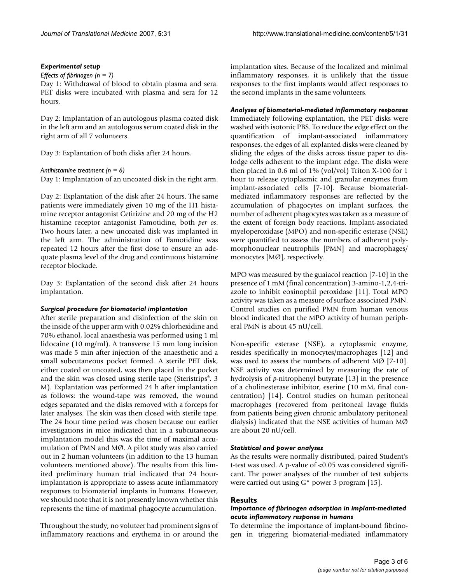#### *Experimental setup*

*Effects of fibrinogen (n = 7)*

Day 1: Withdrawal of blood to obtain plasma and sera. PET disks were incubated with plasma and sera for 12 hours.

Day 2: Implantation of an autologous plasma coated disk in the left arm and an autologous serum coated disk in the right arm of all 7 volunteers.

Day 3: Explantation of both disks after 24 hours.

#### *Antihistamine treatment (n = 6)*

Day 1: Implantation of an uncoated disk in the right arm.

Day 2: Explantation of the disk after 24 hours. The same patients were immediately given 10 mg of the H1 histamine receptor antagonist Cetirizine and 20 mg of the H2 histamine receptor antagonist Famotidine, both *per os*. Two hours later, a new uncoated disk was implanted in the left arm. The administration of Famotidine was repeated 12 hours after the first dose to ensure an adequate plasma level of the drug and continuous histamine receptor blockade.

Day 3: Explantation of the second disk after 24 hours implantation.

# *Surgical procedure for biomaterial implantation*

After sterile preparation and disinfection of the skin on the inside of the upper arm with 0.02% chlorhexidine and 70% ethanol, local anaesthesia was performed using 1 ml lidocaine (10 mg/ml). A transverse 15 mm long incision was made 5 min after injection of the anaesthetic and a small subcutaneous pocket formed. A sterile PET disk, either coated or uncoated, was then placed in the pocket and the skin was closed using sterile tape (Steristrips®, 3 M). Explantation was performed 24 h after implantation as follows: the wound-tape was removed, the wound edges separated and the disks removed with a forceps for later analyses. The skin was then closed with sterile tape. The 24 hour time period was chosen because our earlier investigations in mice indicated that in a subcutaneous implantation model this was the time of maximal accumulation of PMN and MØ. A pilot study was also carried out in 2 human volunteers (in addition to the 13 human volunteers mentioned above). The results from this limited preliminary human trial indicated that 24 hourimplantation is appropriate to assess acute inflammatory responses to biomaterial implants in humans. However, we should note that it is not presently known whether this represents the time of maximal phagocyte accumulation.

Throughout the study, no voluteer had prominent signs of inflammatory reactions and erythema in or around the implantation sites. Because of the localized and minimal inflammatory responses, it is unlikely that the tissue responses to the first implants would affect responses to the second implants in the same volunteers.

# *Analyses of biomaterial-mediated inflammatory responses*

Immediately following explantation, the PET disks were washed with isotonic PBS. To reduce the edge effect on the quantification of implant-associated inflammatory responses, the edges of all explanted disks were cleaned by sliding the edges of the disks across tissue paper to dislodge cells adherent to the implant edge. The disks were then placed in 0.6 ml of 1% (vol/vol) Triton X-100 for 1 hour to release cytoplasmic and granular enzymes from implant-associated cells [7-10]. Because biomaterialmediated inflammatory responses are reflected by the accumulation of phagocytes on implant surfaces, the number of adherent phagocytes was taken as a measure of the extent of foreign body reactions. Implant-associated myeloperoxidase (MPO) and non-specific esterase (NSE) were quantified to assess the numbers of adherent polymorphonuclear neutrophils [PMN] and macrophages/ monocytes [MØ], respectively.

MPO was measured by the guaiacol reaction [7-10] in the presence of 1 mM (final concentration) 3-amino-1,2,4-triazole to inhibit eosinophil peroxidase [11]. Total MPO activity was taken as a measure of surface associated PMN. Control studies on purified PMN from human venous blood indicated that the MPO activity of human peripheral PMN is about 45 nU/cell.

Non-specific esterase (NSE), a cytoplasmic enzyme, resides specifically in monocytes/macrophages [12] and was used to assess the numbers of adherent MØ [7-10]. NSE activity was determined by measuring the rate of hydrolysis of *p*-nitrophenyl butyrate [13] in the presence of a cholinesterase inhibitor, eserine (10 mM, final concentration) [14]. Control studies on human peritoneal macrophages (recovered from peritoneal lavage fluids from patients being given chronic ambulatory peritoneal dialysis) indicated that the NSE activities of human MØ are about 20 nU/cell.

# *Statistical and power analyses*

As the results were normally distributed, paired Student's t-test was used. A p-value of <0.05 was considered significant. The power analyses of the number of test subjects were carried out using G\* power 3 program [15].

# **Results**

# *Importance of fibrinogen adsorption in implant-mediated acute inflammatory response in humans*

To determine the importance of implant-bound fibrinogen in triggering biomaterial-mediated inflammatory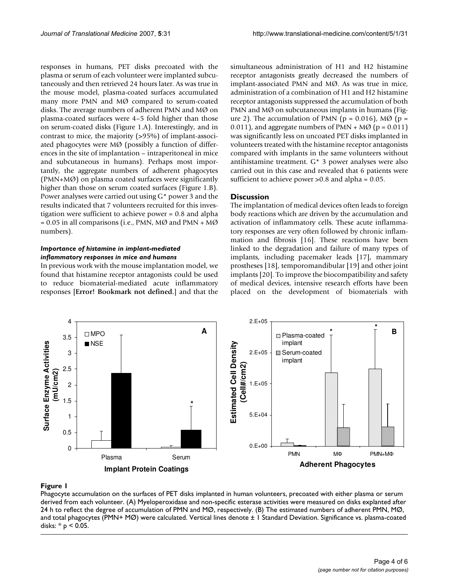responses in humans, PET disks precoated with the plasma or serum of each volunteer were implanted subcutaneously and then retrieved 24 hours later. As was true in the mouse model, plasma-coated surfaces accumulated many more PMN and MØ compared to serum-coated disks. The average numbers of adherent PMN and MØ on plasma-coated surfaces were 4–5 fold higher than those on serum-coated disks (Figure 1.A). Interestingly, and in contrast to mice, the majority (>95%) of implant-associated phagocytes were MØ (possibly a function of differences in the site of implantation – intraperitoneal in mice and subcutaneous in humans). Perhaps most importantly, the aggregate numbers of adherent phagocytes (PMN+MØ) on plasma coated surfaces were significantly higher than those on serum coated surfaces (Figure 1.B). Power analyses were carried out using G\* power 3 and the results indicated that 7 volunteers recruited for this investigation were sufficient to achieve power = 0.8 and alpha  $= 0.05$  in all comparisons (i.e., PMN, MØ and PMN + MØ numbers).

#### *Importance of histamine in implant-mediated inflammatory responses in mice and humans*

In previous work with the mouse implantation model, we found that histamine receptor antagonists could be used to reduce biomaterial-mediated acute inflammatory responses [**Error! Bookmark not defined.**] and that the simultaneous administration of H1 and H2 histamine receptor antagonists greatly decreased the numbers of implant-associated PMN and MØ. As was true in mice, administration of a combination of H1 and H2 histamine receptor antagonists suppressed the accumulation of both PMN and MØ on subcutaneous implants in humans (Figure 2). The accumulation of PMN ( $p = 0.016$ ), MØ ( $p =$ 0.011), and aggregate numbers of PMN + MØ ( $p = 0.011$ ) was significantly less on uncoated PET disks implanted in volunteers treated with the histamine receptor antagonists compared with implants in the same volunteers without antihistamine treatment. G\* 3 power analyses were also carried out in this case and revealed that 6 patients were sufficient to achieve power > 0.8 and alpha = 0.05.

# **Discussion**

The implantation of medical devices often leads to foreign body reactions which are driven by the accumulation and activation of inflammatory cells. These acute inflammatory responses are very often followed by chronic inflammation and fibrosis [16]. These reactions have been linked to the degradation and failure of many types of implants, including pacemaker leads [17], mammary prostheses [18], temporomandibular [19] and other joint implants [20]. To improve the biocompatibility and safety of medical devices, intensive research efforts have been placed on the development of biomaterials with



# Phagocyte accumulation on the surfaces of PET disks implante derived from each volunteer **Figure 1** d in human volunteers, precoated with either plasma or serum

Phagocyte accumulation on the surfaces of PET disks implanted in human volunteers, precoated with either plasma or serum derived from each volunteer. (A) Myeloperoxidase and non-specific esterase activities were measured on disks explanted after 24 h to reflect the degree of accumulation of PMN and MØ, respectively. (B) The estimated numbers of adherent PMN, MØ, and total phagocytes (PMN+ MØ) were calculated. Vertical lines denote ± 1 Standard Deviation. Significance vs. plasma-coated disks:  $*$  p < 0.05.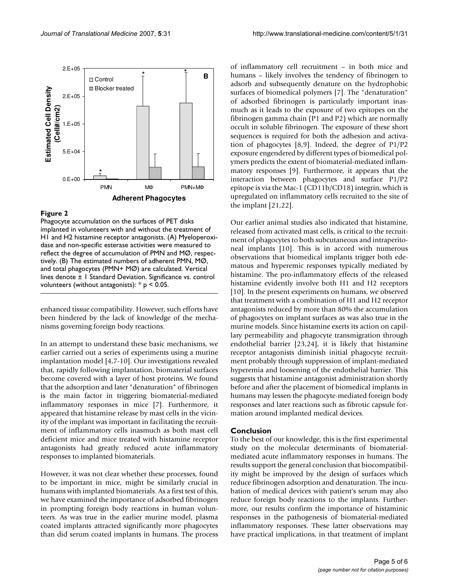

# **Figure 2**

Phagocyte accumulation on the surfaces of PET disks implanted in volunteers with and without the treatment of H1 and H2 histamine receptor antagonists. (A) Myeloperoxidase and non-specific esterase activities were measured to reflect the degree of accumulation of PMN and MØ, respectively. (B) The estimated numbers of adherent PMN, MØ, and total phagocytes (PMN+ MØ) are calculated. Vertical lines denote ± 1 Standard Deviation. Significance vs. control volunteers (without antagonists):  $* p < 0.05$ .

enhanced tissue compatibility. However, such efforts have been hindered by the lack of knowledge of the mechanisms governing foreign body reactions.

In an attempt to understand these basic mechanisms, we earlier carried out a series of experiments using a murine implantation model [4,7-10]. Our investigations revealed that, rapidly following implantation, biomaterial surfaces become covered with a layer of host proteins. We found that the adsorption and later "denaturation" of fibrinogen is the main factor in triggering biomaterial-mediated inflammatory responses in mice [7]. Furthermore, it appeared that histamine release by mast cells in the vicinity of the implant was important in facilitating the recruitment of inflammatory cells inasmuch as both mast cell deficient mice and mice treated with histamine receptor antagonists had greatly reduced acute inflammatory responses to implanted biomaterials.

However, it was not clear whether these processes, found to be important in mice, might be similarly crucial in humans with implanted biomaterials. As a first test of this, we have examined the importance of adsorbed fibrinogen in prompting foreign body reactions in human volunteers. As was true in the earlier murine model, plasma coated implants attracted significantly more phagocytes than did serum coated implants in humans. The process

of inflammatory cell recruitment – in both mice and humans – likely involves the tendency of fibrinogen to adsorb and subsequently denature on the hydrophobic surfaces of biomedical polymers [7]. The "denaturation" of adsorbed fibrinogen is particularly important inasmuch as it leads to the exposure of two epitopes on the fibrinogen gamma chain (P1 and P2) which are normally occult in soluble fibrinogen. The exposure of these short sequences is required for both the adhesion and activation of phagocytes [8,9]. Indeed, the degree of P1/P2 exposure engendered by different types of biomedical polymers predicts the extent of biomaterial-mediated inflammatory responses [9]. Furthermore, it appears that the interaction between phagocytes and surface P1/P2 epitope is via the Mac-1 (CD11b/CD18) integrin, which is upregulated on inflammatory cells recruited to the site of the implant [21,22].

Our earlier animal studies also indicated that histamine, released from activated mast cells, is critical to the recruitment of phagocytes to both subcutaneous and intraperitoneal implants [10]. This is in accord with numerous observations that biomedical implants trigger both edematous and hyperemic responses typically mediated by histamine. The pro-inflammatory effects of the released histamine evidently involve both H1 and H2 receptors [10]. In the present experiments on humans, we observed that treatment with a combination of H1 and H2 receptor antagonists reduced by more than 80% the accumulation of phagocytes on implant surfaces as was also true in the murine models. Since histamine exerts its action on capillary permeability and phagocyte transmigration through endothelial barrier [23,24], it is likely that histamine receptor antagonists diminish initial phagocyte recruitment probably through suppression of implant-mediated hyperemia and loosening of the endothelial barrier. This suggests that histamine antagonist administration shortly before and after the placement of biomedical implants in humans may lessen the phagocyte-mediated foreign body responses and later reactions such as fibrotic capsule formation around implanted medical devices.

# **Conclusion**

To the best of our knowledge, this is the first experimental study on the molecular determinants of biomaterialmediated acute inflammatory responses in humans. The results support the general conclusion that biocompatibility might be improved by the design of surfaces which reduce fibrinogen adsorption and denaturation. The incubation of medical devices with patient's serum may also reduce foreign body reactions to the implants. Furthermore, our results confirm the importance of histaminic responses in the pathogenesis of biomaterial-mediated inflammatory responses. These latter observations may have practical implications, in that treatment of implant